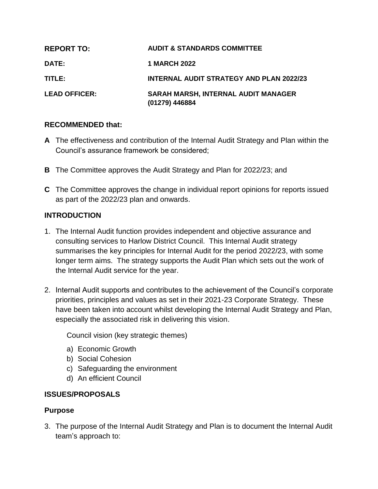| <b>REPORT TO:</b>    | <b>AUDIT &amp; STANDARDS COMMITTEE</b>                       |
|----------------------|--------------------------------------------------------------|
| <b>DATE:</b>         | <b>1 MARCH 2022</b>                                          |
| TITLE:               | <b>INTERNAL AUDIT STRATEGY AND PLAN 2022/23</b>              |
| <b>LEAD OFFICER:</b> | <b>SARAH MARSH, INTERNAL AUDIT MANAGER</b><br>(01279) 446884 |

### **RECOMMENDED that:**

- **A** The effectiveness and contribution of the Internal Audit Strategy and Plan within the Council's assurance framework be considered;
- **B** The Committee approves the Audit Strategy and Plan for 2022/23; and
- **C** The Committee approves the change in individual report opinions for reports issued as part of the 2022/23 plan and onwards.

### **INTRODUCTION**

- 1. The Internal Audit function provides independent and objective assurance and consulting services to Harlow District Council. This Internal Audit strategy summarises the key principles for Internal Audit for the period 2022/23, with some longer term aims. The strategy supports the Audit Plan which sets out the work of the Internal Audit service for the year.
- 2. Internal Audit supports and contributes to the achievement of the Council's corporate priorities, principles and values as set in their 2021-23 Corporate Strategy. These have been taken into account whilst developing the Internal Audit Strategy and Plan, especially the associated risk in delivering this vision.

Council vision (key strategic themes)

- a) Economic Growth
- b) Social Cohesion
- c) Safeguarding the environment
- d) An efficient Council

## **ISSUES/PROPOSALS**

#### **Purpose**

3. The purpose of the Internal Audit Strategy and Plan is to document the Internal Audit team's approach to: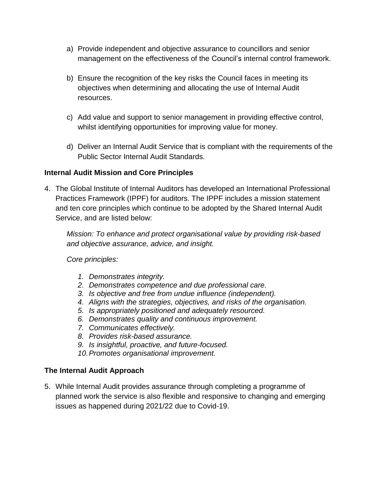- a) Provide independent and objective assurance to councillors and senior management on the effectiveness of the Council's internal control framework.
- b) Ensure the recognition of the key risks the Council faces in meeting its objectives when determining and allocating the use of Internal Audit resources.
- c) Add value and support to senior management in providing effective control, whilst identifying opportunities for improving value for money.
- d) Deliver an Internal Audit Service that is compliant with the requirements of the Public Sector Internal Audit Standards.

## **Internal Audit Mission and Core Principles**

4. The Global Institute of Internal Auditors has developed an International Professional Practices Framework (IPPF) for auditors. The IPPF includes a mission statement and ten core principles which continue to be adopted by the Shared Internal Audit Service, and are listed below:

*Mission: To enhance and protect organisational value by providing risk-based and objective assurance, advice, and insight.*

*Core principles:*

- *1. Demonstrates integrity.*
- *2. Demonstrates competence and due professional care.*
- *3. Is objective and free from undue influence (independent).*
- *4. Aligns with the strategies, objectives, and risks of the organisation.*
- *5. Is appropriately positioned and adequately resourced.*
- *6. Demonstrates quality and continuous improvement.*
- *7. Communicates effectively.*
- *8. Provides risk-based assurance.*
- *9. Is insightful, proactive, and future-focused.*
- *10.Promotes organisational improvement.*

#### **The Internal Audit Approach**

5. While Internal Audit provides assurance through completing a programme of planned work the service is also flexible and responsive to changing and emerging issues as happened during 2021/22 due to Covid-19.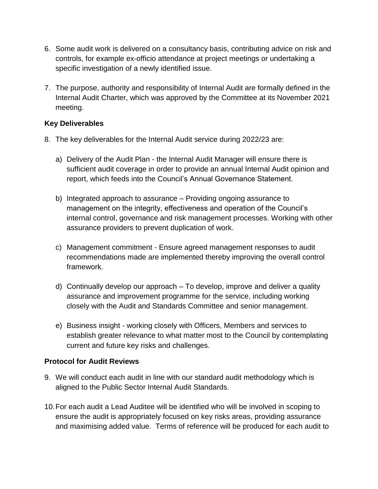- 6. Some audit work is delivered on a consultancy basis, contributing advice on risk and controls, for example ex-officio attendance at project meetings or undertaking a specific investigation of a newly identified issue.
- 7. The purpose, authority and responsibility of Internal Audit are formally defined in the Internal Audit Charter, which was approved by the Committee at its November 2021 meeting.

### **Key Deliverables**

- 8. The key deliverables for the Internal Audit service during 2022/23 are:
	- a) Delivery of the Audit Plan the Internal Audit Manager will ensure there is sufficient audit coverage in order to provide an annual Internal Audit opinion and report, which feeds into the Council's Annual Governance Statement.
	- b) Integrated approach to assurance Providing ongoing assurance to management on the integrity, effectiveness and operation of the Council's internal control, governance and risk management processes. Working with other assurance providers to prevent duplication of work.
	- c) Management commitment Ensure agreed management responses to audit recommendations made are implemented thereby improving the overall control framework.
	- d) Continually develop our approach To develop, improve and deliver a quality assurance and improvement programme for the service, including working closely with the Audit and Standards Committee and senior management.
	- e) Business insight *-* working closely with Officers, Members and services to establish greater relevance to what matter most to the Council by contemplating current and future key risks and challenges.

## **Protocol for Audit Reviews**

- 9. We will conduct each audit in line with our standard audit methodology which is aligned to the Public Sector Internal Audit Standards.
- 10.For each audit a Lead Auditee will be identified who will be involved in scoping to ensure the audit is appropriately focused on key risks areas, providing assurance and maximising added value. Terms of reference will be produced for each audit to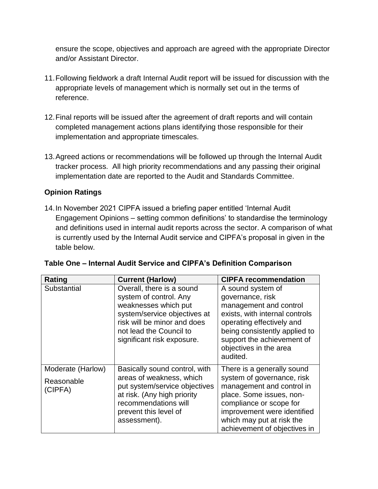ensure the scope, objectives and approach are agreed with the appropriate Director and/or Assistant Director.

- 11.Following fieldwork a draft Internal Audit report will be issued for discussion with the appropriate levels of management which is normally set out in the terms of reference.
- 12.Final reports will be issued after the agreement of draft reports and will contain completed management actions plans identifying those responsible for their implementation and appropriate timescales.
- 13.Agreed actions or recommendations will be followed up through the Internal Audit tracker process. All high priority recommendations and any passing their original implementation date are reported to the Audit and Standards Committee.

# **Opinion Ratings**

14.In November 2021 CIPFA issued a briefing paper entitled 'Internal Audit Engagement Opinions – setting common definitions' to standardise the terminology and definitions used in internal audit reports across the sector. A comparison of what is currently used by the Internal Audit service and CIPFA's proposal in given in the table below.

| Rating                                     | <b>Current (Harlow)</b>                                                                                                                                                                             | <b>CIPFA recommendation</b>                                                                                                                                                                                                              |
|--------------------------------------------|-----------------------------------------------------------------------------------------------------------------------------------------------------------------------------------------------------|------------------------------------------------------------------------------------------------------------------------------------------------------------------------------------------------------------------------------------------|
| Substantial                                | Overall, there is a sound<br>system of control. Any<br>weaknesses which put<br>system/service objectives at<br>risk will be minor and does<br>not lead the Council to<br>significant risk exposure. | A sound system of<br>governance, risk<br>management and control<br>exists, with internal controls<br>operating effectively and<br>being consistently applied to<br>support the achievement of<br>objectives in the area<br>audited.      |
| Moderate (Harlow)<br>Reasonable<br>(CIPFA) | Basically sound control, with<br>areas of weakness, which<br>put system/service objectives<br>at risk. (Any high priority<br>recommendations will<br>prevent this level of<br>assessment).          | There is a generally sound<br>system of governance, risk<br>management and control in<br>place. Some issues, non-<br>compliance or scope for<br>improvement were identified<br>which may put at risk the<br>achievement of objectives in |

|  |  |  |  |  | Table One – Internal Audit Service and CIPFA's Definition Comparison |
|--|--|--|--|--|----------------------------------------------------------------------|
|--|--|--|--|--|----------------------------------------------------------------------|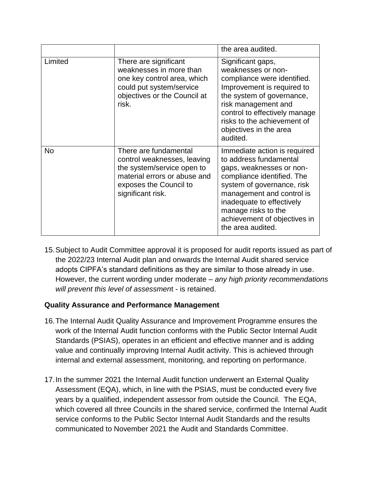|           |                                                                                                                                                                   | the area audited.                                                                                                                                                                                                                                                                    |
|-----------|-------------------------------------------------------------------------------------------------------------------------------------------------------------------|--------------------------------------------------------------------------------------------------------------------------------------------------------------------------------------------------------------------------------------------------------------------------------------|
| Limited   | There are significant<br>weaknesses in more than<br>one key control area, which<br>could put system/service<br>objectives or the Council at<br>risk.              | Significant gaps,<br>weaknesses or non-<br>compliance were identified.<br>Improvement is required to<br>the system of governance,<br>risk management and<br>control to effectively manage<br>risks to the achievement of<br>objectives in the area<br>audited.                       |
| <b>No</b> | There are fundamental<br>control weaknesses, leaving<br>the system/service open to<br>material errors or abuse and<br>exposes the Council to<br>significant risk. | Immediate action is required<br>to address fundamental<br>gaps, weaknesses or non-<br>compliance identified. The<br>system of governance, risk<br>management and control is<br>inadequate to effectively<br>manage risks to the<br>achievement of objectives in<br>the area audited. |

15.Subject to Audit Committee approval it is proposed for audit reports issued as part of the 2022/23 Internal Audit plan and onwards the Internal Audit shared service adopts CIPFA's standard definitions as they are similar to those already in use. However, the current wording under moderate – *any high priority recommendations will prevent this level of assessmen*t - is retained.

# **Quality Assurance and Performance Management**

- 16.The Internal Audit Quality Assurance and Improvement Programme ensures the work of the Internal Audit function conforms with the Public Sector Internal Audit Standards (PSIAS), operates in an efficient and effective manner and is adding value and continually improving Internal Audit activity. This is achieved through internal and external assessment, monitoring, and reporting on performance.
- 17.In the summer 2021 the Internal Audit function underwent an External Quality Assessment (EQA), which, in line with the PSIAS, must be conducted every five years by a qualified, independent assessor from outside the Council. The EQA, which covered all three Councils in the shared service, confirmed the Internal Audit service conforms to the Public Sector Internal Audit Standards and the results communicated to November 2021 the Audit and Standards Committee.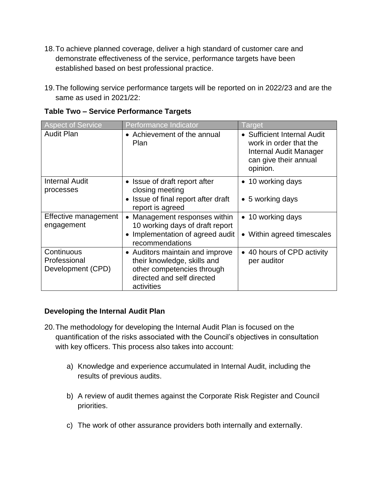- 18.To achieve planned coverage, deliver a high standard of customer care and demonstrate effectiveness of the service, performance targets have been established based on best professional practice.
- 19.The following service performance targets will be reported on in 2022/23 and are the same as used in 2021/22:

| <b>Aspect of Service</b>                        | Performance Indicator                                                                                                                    | Target                                                                                                               |
|-------------------------------------------------|------------------------------------------------------------------------------------------------------------------------------------------|----------------------------------------------------------------------------------------------------------------------|
| <b>Audit Plan</b>                               | • Achievement of the annual<br><b>Plan</b>                                                                                               | • Sufficient Internal Audit<br>work in order that the<br>Internal Audit Manager<br>can give their annual<br>opinion. |
| <b>Internal Audit</b><br>processes              | • Issue of draft report after<br>closing meeting                                                                                         | • 10 working days                                                                                                    |
|                                                 | • Issue of final report after draft<br>report is agreed                                                                                  | • 5 working days                                                                                                     |
| Effective management<br>engagement              | • Management responses within<br>10 working days of draft report                                                                         | • 10 working days                                                                                                    |
|                                                 | • Implementation of agreed audit<br>recommendations                                                                                      | • Within agreed timescales                                                                                           |
| Continuous<br>Professional<br>Development (CPD) | • Auditors maintain and improve<br>their knowledge, skills and<br>other competencies through<br>directed and self directed<br>activities | • 40 hours of CPD activity<br>per auditor                                                                            |

### **Table Two – Service Performance Targets**

#### **Developing the Internal Audit Plan**

- 20.The methodology for developing the Internal Audit Plan is focused on the quantification of the risks associated with the Council's objectives in consultation with key officers. This process also takes into account:
	- a) Knowledge and experience accumulated in Internal Audit, including the results of previous audits.
	- b) A review of audit themes against the Corporate Risk Register and Council priorities.
	- c) The work of other assurance providers both internally and externally.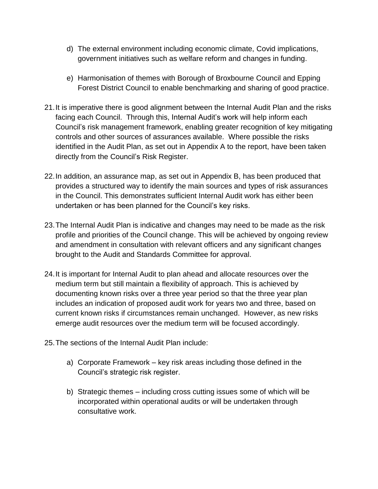- d) The external environment including economic climate, Covid implications, government initiatives such as welfare reform and changes in funding.
- e) Harmonisation of themes with Borough of Broxbourne Council and Epping Forest District Council to enable benchmarking and sharing of good practice.
- 21.It is imperative there is good alignment between the Internal Audit Plan and the risks facing each Council. Through this, Internal Audit's work will help inform each Council's risk management framework, enabling greater recognition of key mitigating controls and other sources of assurances available. Where possible the risks identified in the Audit Plan, as set out in Appendix A to the report, have been taken directly from the Council's Risk Register.
- 22.In addition, an assurance map, as set out in Appendix B, has been produced that provides a structured way to identify the main sources and types of risk assurances in the Council. This demonstrates sufficient Internal Audit work has either been undertaken or has been planned for the Council's key risks.
- 23.The Internal Audit Plan is indicative and changes may need to be made as the risk profile and priorities of the Council change. This will be achieved by ongoing review and amendment in consultation with relevant officers and any significant changes brought to the Audit and Standards Committee for approval.
- 24.It is important for Internal Audit to plan ahead and allocate resources over the medium term but still maintain a flexibility of approach. This is achieved by documenting known risks over a three year period so that the three year plan includes an indication of proposed audit work for years two and three, based on current known risks if circumstances remain unchanged. However, as new risks emerge audit resources over the medium term will be focused accordingly.
- 25.The sections of the Internal Audit Plan include:
	- a) Corporate Framework key risk areas including those defined in the Council's strategic risk register.
	- b) Strategic themes including cross cutting issues some of which will be incorporated within operational audits or will be undertaken through consultative work.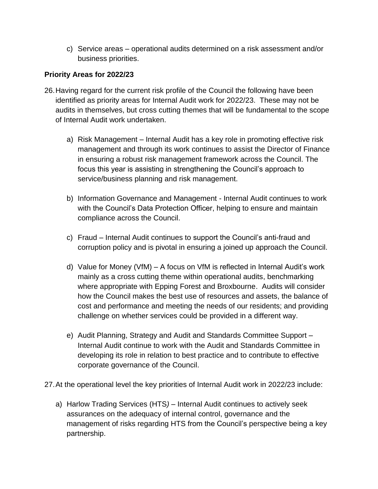c) Service areas – operational audits determined on a risk assessment and/or business priorities.

# **Priority Areas for 2022/23**

- 26.Having regard for the current risk profile of the Council the following have been identified as priority areas for Internal Audit work for 2022/23. These may not be audits in themselves, but cross cutting themes that will be fundamental to the scope of Internal Audit work undertaken.
	- a) Risk Management Internal Audit has a key role in promoting effective risk management and through its work continues to assist the Director of Finance in ensuring a robust risk management framework across the Council. The focus this year is assisting in strengthening the Council's approach to service/business planning and risk management.
	- b) Information Governance and Management Internal Audit continues to work with the Council's Data Protection Officer, helping to ensure and maintain compliance across the Council.
	- c) Fraud Internal Audit continues to support the Council's anti-fraud and corruption policy and is pivotal in ensuring a joined up approach the Council.
	- d) Value for Money (VfM) A focus on VfM is reflected in Internal Audit's work mainly as a cross cutting theme within operational audits, benchmarking where appropriate with Epping Forest and Broxbourne. Audits will consider how the Council makes the best use of resources and assets, the balance of cost and performance and meeting the needs of our residents; and providing challenge on whether services could be provided in a different way.
	- e) Audit Planning, Strategy and Audit and Standards Committee Support Internal Audit continue to work with the Audit and Standards Committee in developing its role in relation to best practice and to contribute to effective corporate governance of the Council.
- 27.At the operational level the key priorities of Internal Audit work in 2022/23 include:
	- a) Harlow Trading Services (HTS*)* Internal Audit continues to actively seek assurances on the adequacy of internal control, governance and the management of risks regarding HTS from the Council's perspective being a key partnership.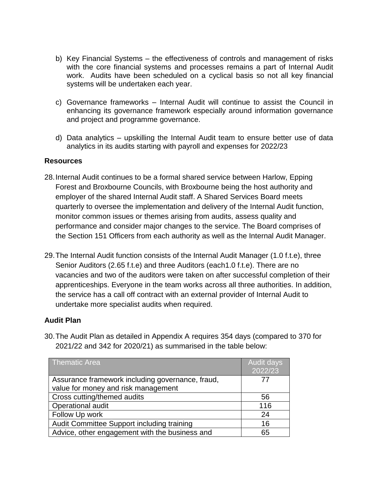- b) Key Financial Systems the effectiveness of controls and management of risks with the core financial systems and processes remains a part of Internal Audit work. Audits have been scheduled on a cyclical basis so not all key financial systems will be undertaken each year.
- c) Governance frameworks Internal Audit will continue to assist the Council in enhancing its governance framework especially around information governance and project and programme governance.
- d) Data analytics upskilling the Internal Audit team to ensure better use of data analytics in its audits starting with payroll and expenses for 2022/23

### **Resources**

- 28.Internal Audit continues to be a formal shared service between Harlow, Epping Forest and Broxbourne Councils, with Broxbourne being the host authority and employer of the shared Internal Audit staff. A Shared Services Board meets quarterly to oversee the implementation and delivery of the Internal Audit function, monitor common issues or themes arising from audits, assess quality and performance and consider major changes to the service. The Board comprises of the Section 151 Officers from each authority as well as the Internal Audit Manager.
- 29.The Internal Audit function consists of the Internal Audit Manager (1.0 f.t.e), three Senior Auditors (2.65 f.t.e) and three Auditors (each1.0 f.t.e). There are no vacancies and two of the auditors were taken on after successful completion of their apprenticeships. Everyone in the team works across all three authorities. In addition, the service has a call off contract with an external provider of Internal Audit to undertake more specialist audits when required.

## **Audit Plan**

| $2021/22$ and 342 for $2020/21$ ) as summarised in the table below:                     |                       |  |
|-----------------------------------------------------------------------------------------|-----------------------|--|
| <b>Thematic Area</b>                                                                    | Audit days<br>2022/23 |  |
| Assurance framework including governance, fraud,<br>value for money and risk management |                       |  |
| Cross cutting/themed audits                                                             | 56                    |  |
| Operational audit                                                                       | 116                   |  |
| Follow Up work                                                                          | 24                    |  |

Audit Committee Support including training 16 Advice, other engagement with the business and  $\qquad \qquad$  65

30.The Audit Plan as detailed in Appendix A requires 354 days (compared to 370 for 2021/22 and 342 for 2020/21) as summarised in the table below: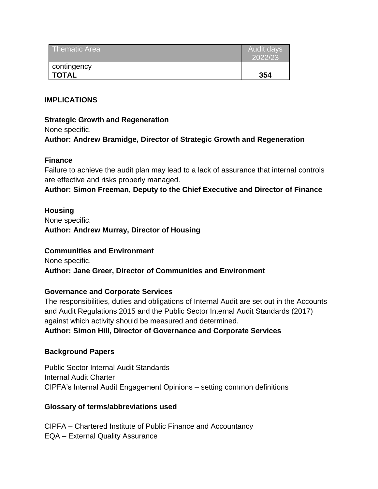| Thematic Area | Audit days<br>2022/23 |
|---------------|-----------------------|
| contingency   |                       |
| <b>TOTAL</b>  | 354                   |

### **IMPLICATIONS**

### **Strategic Growth and Regeneration**

None specific.

## **Author: Andrew Bramidge, Director of Strategic Growth and Regeneration**

### **Finance**

Failure to achieve the audit plan may lead to a lack of assurance that internal controls are effective and risks properly managed.

**Author: Simon Freeman, Deputy to the Chief Executive and Director of Finance**

### **Housing**

None specific. **Author: Andrew Murray, Director of Housing**

#### **Communities and Environment**

None specific. **Author: Jane Greer, Director of Communities and Environment**

## **Governance and Corporate Services**

The responsibilities, duties and obligations of Internal Audit are set out in the Accounts and Audit Regulations 2015 and the Public Sector Internal Audit Standards (2017) against which activity should be measured and determined.

## **Author: Simon Hill, Director of Governance and Corporate Services**

## **Background Papers**

Public Sector Internal Audit Standards Internal Audit Charter CIPFA's Internal Audit Engagement Opinions – setting common definitions

## **Glossary of terms/abbreviations used**

CIPFA – Chartered Institute of Public Finance and Accountancy EQA – External Quality Assurance